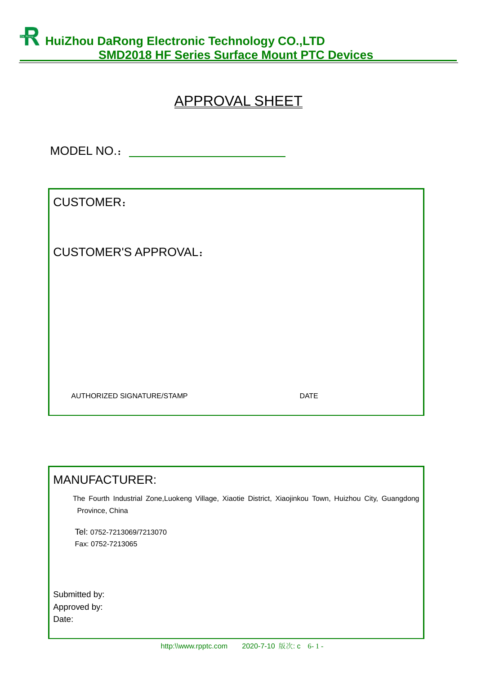# APPROVAL SHEET

MODEL NO.:

CUSTOMER:

CUSTOMER'S APPROVAL:

AUTHORIZED SIGNATURE/STAMP DATE

### MANUFACTURER:

 The Fourth Industrial Zone,Luokeng Village, Xiaotie District, Xiaojinkou Town, Huizhou City, Guangdong Province, China

 Tel: 0752-7213069/7213070 Fax: 0752-7213065

Submitted by: Approved by: Date: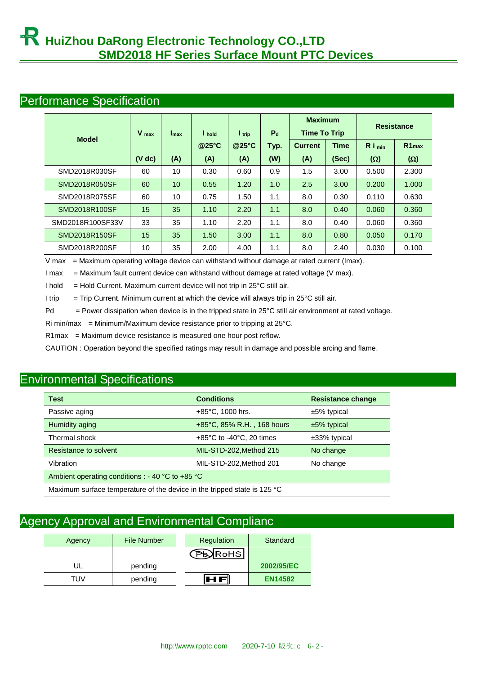#### Performance Specification

|                  | $V_{max}$   | $I_{\text{max}}$ | I hold | $\mathsf{I}$ trip | $P_{d}$ | <b>Maximum</b><br><b>Time To Trip</b> |       | <b>Resistance</b>    |                   |
|------------------|-------------|------------------|--------|-------------------|---------|---------------------------------------|-------|----------------------|-------------------|
| <b>Model</b>     |             |                  | @25°C  | @25°C             | Typ.    | <b>Current</b>                        | Time  | $R_i$ <sub>min</sub> | R1 <sub>max</sub> |
|                  | $(V \, dc)$ | (A)              | (A)    | (A)               | (W)     | (A)                                   | (Sec) | $(\Omega)$           | $(\Omega)$        |
| SMD2018R030SF    | 60          | 10               | 0.30   | 0.60              | 0.9     | 1.5                                   | 3.00  | 0.500                | 2.300             |
| SMD2018R050SF    | 60          | 10               | 0.55   | 1.20              | 1.0     | 2.5                                   | 3.00  | 0.200                | 1.000             |
| SMD2018R075SF    | 60          | 10               | 0.75   | 1.50              | 1.1     | 8.0                                   | 0.30  | 0.110                | 0.630             |
| SMD2018R100SF    | 15          | 35               | 1.10   | 2.20              | 1.1     | 8.0                                   | 0.40  | 0.060                | 0.360             |
| SMD2018R100SF33V | 33          | 35               | 1.10   | 2.20              | 1.1     | 8.0                                   | 0.40  | 0.060                | 0.360             |
| SMD2018R150SF    | 15          | 35               | 1.50   | 3.00              | 1.1     | 8.0                                   | 0.80  | 0.050                | 0.170             |
| SMD2018R200SF    | 10          | 35               | 2.00   | 4.00              | 1.1     | 8.0                                   | 2.40  | 0.030                | 0.100             |

V max = Maximum operating voltage device can withstand without damage at rated current (Imax).

I max = Maximum fault current device can withstand without damage at rated voltage (V max).

I hold  $=$  Hold Current. Maximum current device will not trip in 25 $\degree$ C still air.

I trip  $=$  Trip Current. Minimum current at which the device will always trip in 25 $\degree$ C still air.

Pd  $=$  Power dissipation when device is in the tripped state in 25 $\degree$ C still air environment at rated voltage.

Ri min/max = Minimum/Maximum device resistance prior to tripping at  $25^{\circ}$ C.

R1max = Maximum device resistance is measured one hour post reflow.

CAUTION : Operation beyond the specified ratings may result in damage and possible arcing and flame.

## Environmental Specifications

| <b>Test</b>                                                              | <b>Conditions</b>                             | <b>Resistance change</b> |  |  |  |
|--------------------------------------------------------------------------|-----------------------------------------------|--------------------------|--|--|--|
| Passive aging                                                            | $+85^{\circ}$ C, 1000 hrs.                    | ±5% typical              |  |  |  |
| Humidity aging                                                           | +85°C, 85% R.H., 168 hours                    | $±5\%$ typical           |  |  |  |
| Thermal shock                                                            | $+85^{\circ}$ C to -40 $^{\circ}$ C, 20 times | $±33\%$ typical          |  |  |  |
| Resistance to solvent                                                    | MIL-STD-202, Method 215                       | No change                |  |  |  |
| MIL-STD-202, Method 201<br>Vibration<br>No change                        |                                               |                          |  |  |  |
| Ambient operating conditions : - 40 $^{\circ}$ C to +85 $^{\circ}$ C     |                                               |                          |  |  |  |
| Maximum surface temperature of the device in the tripped state is 125 °C |                                               |                          |  |  |  |

## Agency Approval and Environmental Complianc

| Agency | <b>File Number</b> | Regulation | Standard       |
|--------|--------------------|------------|----------------|
|        |                    | JRoHS      |                |
| UL     | pending            |            | 2002/95/EC     |
| TUV    | pending            |            | <b>EN14582</b> |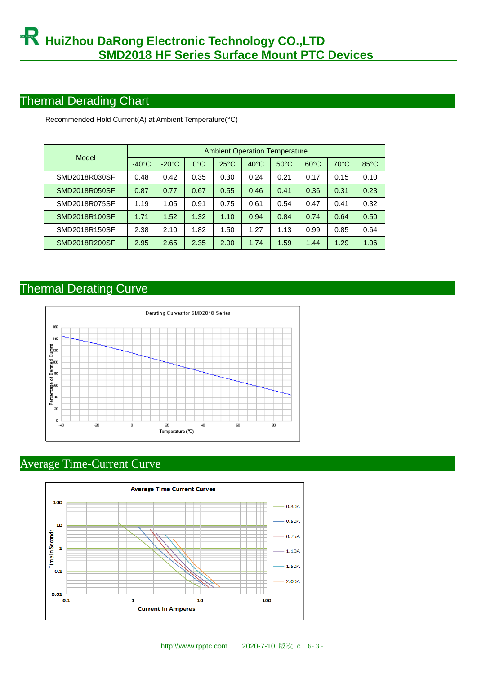## Thermal Derading Chart

| Model         | <b>Ambient Operation Temperature</b> |                 |               |                |                |                |                |                |                |  |
|---------------|--------------------------------------|-----------------|---------------|----------------|----------------|----------------|----------------|----------------|----------------|--|
|               | $-40^{\circ}$ C                      | $-20^{\circ}$ C | $0^{\circ}$ C | $25^{\circ}$ C | $40^{\circ}$ C | $50^{\circ}$ C | $60^{\circ}$ C | $70^{\circ}$ C | $85^{\circ}$ C |  |
| SMD2018R030SF | 0.48                                 | 0.42            | 0.35          | 0.30           | 0.24           | 0.21           | 0.17           | 0.15           | 0.10           |  |
| SMD2018R050SF | 0.87                                 | 0.77            | 0.67          | 0.55           | 0.46           | 0.41           | 0.36           | 0.31           | 0.23           |  |
| SMD2018R075SF | 1.19                                 | 1.05            | 0.91          | 0.75           | 0.61           | 0.54           | 0.47           | 0.41           | 0.32           |  |
| SMD2018R100SF | 1.71                                 | 1.52            | 1.32          | 1.10           | 0.94           | 0.84           | 0.74           | 0.64           | 0.50           |  |
| SMD2018R150SF | 2.38                                 | 2.10            | 1.82          | 1.50           | 1.27           | 1.13           | 0.99           | 0.85           | 0.64           |  |
| SMD2018R200SF | 2.95                                 | 2.65            | 2.35          | 2.00           | 1.74           | 1.59           | 1.44           | 1.29           | 1.06           |  |

Recommended Hold Current(A) at Ambient Temperature(°C)

## Thermal Derating Curve



## Average Time-Current Curve

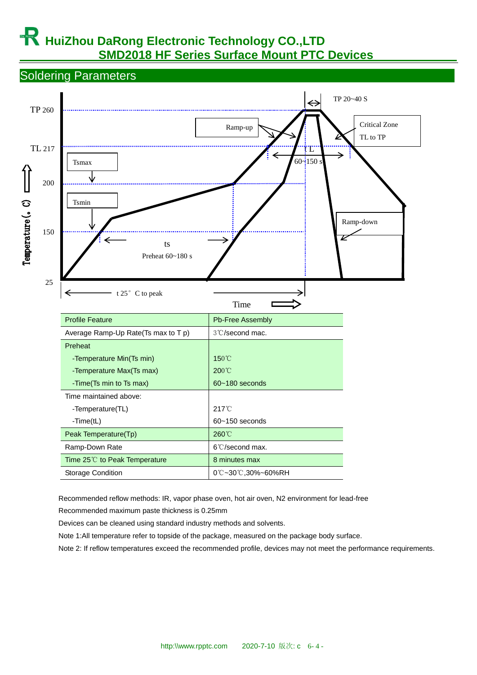# **Hauzhou DaRong Electronic Technology CO., LTD SMD2018 HF Series Surface Mount PTC Devices**

Soldering Parameters



Recommended reflow methods: IR, vapor phase oven, hot air oven, N2 environment for lead-free

Recommended maximum paste thickness is 0.25mm

Devices can be cleaned using standard industry methods and solvents.

Note 1:All temperature refer to topside of the package, measured on the package body surface.

Note 2: If reflow temperatures exceed the recommended profile, devices may not meet the performance requirements.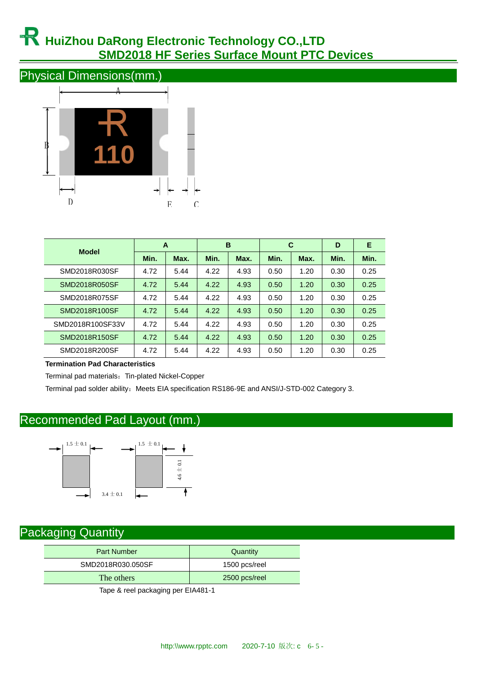# **HuiZhou DaRong Electronic Technology CO.,LTD SMD2018 HF Series Surface Mount PTC Devices**

Physical Dimensions(mm.)



| <b>Model</b>     | A    |      | B    |      | C    |      | D    | Е    |
|------------------|------|------|------|------|------|------|------|------|
|                  | Min. | Max. | Min. | Max. | Min. | Max. | Min. | Min. |
| SMD2018R030SF    | 4.72 | 5.44 | 4.22 | 4.93 | 0.50 | 1.20 | 0.30 | 0.25 |
| SMD2018R050SF    | 4.72 | 5.44 | 4.22 | 4.93 | 0.50 | 1.20 | 0.30 | 0.25 |
| SMD2018R075SF    | 4.72 | 5.44 | 4.22 | 4.93 | 0.50 | 1.20 | 0.30 | 0.25 |
| SMD2018R100SF    | 4.72 | 5.44 | 4.22 | 4.93 | 0.50 | 1.20 | 0.30 | 0.25 |
| SMD2018R100SF33V | 4.72 | 5.44 | 4.22 | 4.93 | 0.50 | 1.20 | 0.30 | 0.25 |
| SMD2018R150SF    | 4.72 | 5.44 | 4.22 | 4.93 | 0.50 | 1.20 | 0.30 | 0.25 |
| SMD2018R200SF    | 4.72 | 5.44 | 4.22 | 4.93 | 0.50 | 1.20 | 0.30 | 0.25 |

**Termination Pad Characteristics**

Terminal pad materials: Tin-plated Nickel-Copper

Terminal pad solder ability: Meets EIA specification RS186-9E and ANSI/J-STD-002 Category 3.

## Recommended Pad Layout (mm.)



## Packaging Quantity

| <b>Part Number</b>                 | Quantity      |  |  |
|------------------------------------|---------------|--|--|
| SMD2018R030.050SF                  | 1500 pcs/reel |  |  |
| The others                         | 2500 pcs/reel |  |  |
| $\sim$ $\sim$ $\sim$ $\sim$ $\sim$ | _             |  |  |

Tape & reel packaging per EIA481-1